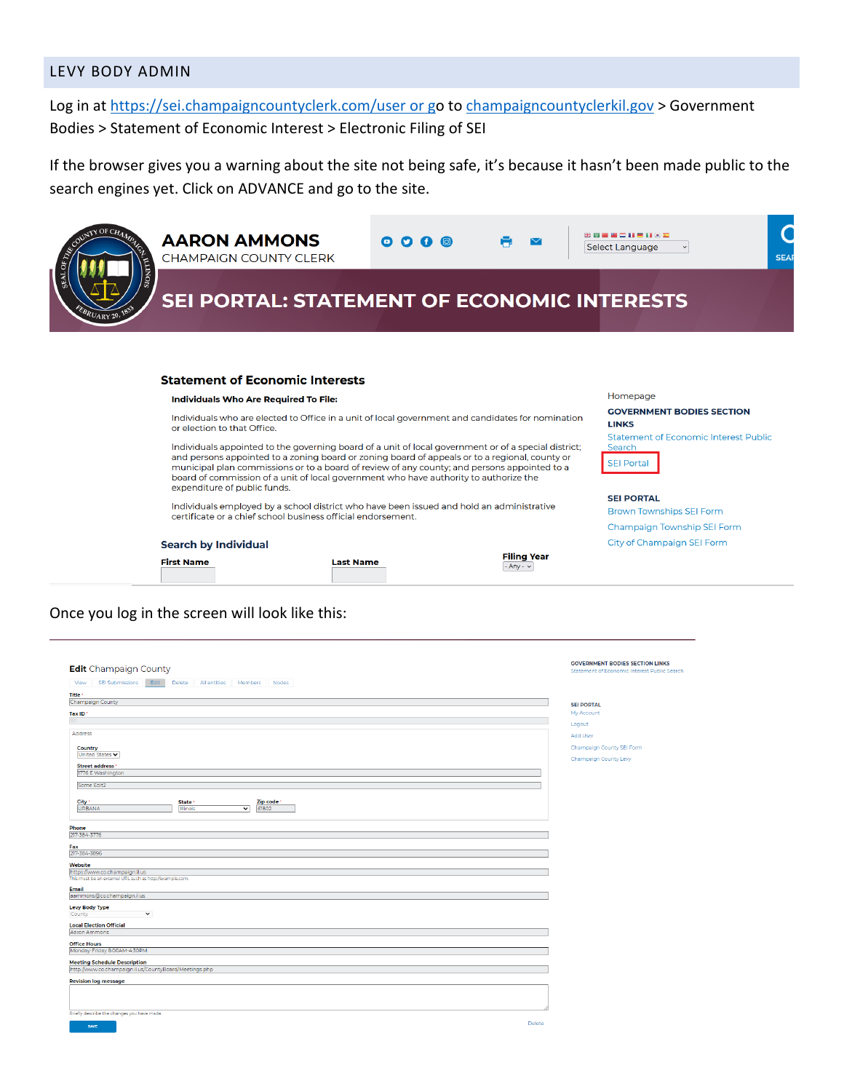#### LEVY BODY ADMIN

Log in at<https://sei.champaigncountyclerk.com/user> or go to [champaigncountyclerkil.gov](https://champaigncountyclerkil.gov/) > Government Bodies > Statement of Economic Interest > Electronic Filing of SEI

If the browser gives you a warning about the site not being safe, it's because it hasn't been made public to the search engines yet. Click on ADVANCE and go to the site.

| $\sqrt{N}$ OF CHA                                                                                                                                                                                                                                                                                                                                                                                                               | <b>AARON AMMONS</b><br><b>CHAMPAIGN COUNTY CLERK</b>                                                                                                      | $\bullet$ $\bullet$ $\bullet$ |                                     | 第四国第二日三日文王<br>Select Language                                                                    | <b>SEAR</b> |
|---------------------------------------------------------------------------------------------------------------------------------------------------------------------------------------------------------------------------------------------------------------------------------------------------------------------------------------------------------------------------------------------------------------------------------|-----------------------------------------------------------------------------------------------------------------------------------------------------------|-------------------------------|-------------------------------------|--------------------------------------------------------------------------------------------------|-------------|
| <b>SIONITI</b><br><b>OTATS</b><br>BRUARY 20, 183                                                                                                                                                                                                                                                                                                                                                                                | SEI PORTAL: STATEMENT OF ECONOMIC INTERESTS                                                                                                               |                               |                                     |                                                                                                  |             |
|                                                                                                                                                                                                                                                                                                                                                                                                                                 | <b>Statement of Economic Interests</b><br>Individuals Who Are Required To File:                                                                           |                               |                                     | Homepage                                                                                         |             |
|                                                                                                                                                                                                                                                                                                                                                                                                                                 | Individuals who are elected to Office in a unit of local government and candidates for nomination<br>or election to that Office.                          |                               |                                     | <b>GOVERNMENT BODIES SECTION</b><br><b>LINKS</b><br><b>Statement of Economic Interest Public</b> |             |
| Individuals appointed to the governing board of a unit of local government or of a special district;<br>and persons appointed to a zoning board or zoning board of appeals or to a regional, county or<br>municipal plan commissions or to a board of review of any county; and persons appointed to a<br>board of commission of a unit of local government who have authority to authorize the<br>expenditure of public funds. |                                                                                                                                                           |                               |                                     | Search<br><b>SEI Portal</b>                                                                      |             |
|                                                                                                                                                                                                                                                                                                                                                                                                                                 | Individuals employed by a school district who have been issued and hold an administrative<br>certificate or a chief school business official endorsement. |                               |                                     | <b>SEI PORTAL</b><br><b>Brown Townships SEI Form</b>                                             |             |
|                                                                                                                                                                                                                                                                                                                                                                                                                                 |                                                                                                                                                           |                               |                                     | <b>Champaign Township SEI Form</b>                                                               |             |
|                                                                                                                                                                                                                                                                                                                                                                                                                                 | <b>Search by Individual</b>                                                                                                                               |                               |                                     | City of Champaign SEI Form                                                                       |             |
|                                                                                                                                                                                                                                                                                                                                                                                                                                 | <b>First Name</b>                                                                                                                                         | <b>Last Name</b>              | <b>Filing Year</b><br>$-Any - \vee$ |                                                                                                  |             |

#### Once you log in the screen will look like this:

|                                                                                 | <b>GOVERNMENT BODIES SECTION LINKS</b>       |
|---------------------------------------------------------------------------------|----------------------------------------------|
| <b>Edit</b> Champaign County                                                    | Statement of Economic Interest Public Search |
| SEI Submissions<br>Edit<br>All entities<br>Members Nodes<br>View<br>Delete      |                                              |
| Title -                                                                         |                                              |
| Champaign County                                                                | <b>SEI PORTAL</b>                            |
| Tax ID'<br>101                                                                  | My Account                                   |
|                                                                                 | Logout                                       |
| Address                                                                         | Add User                                     |
| <b>Country</b>                                                                  | Champaign County SEI Form                    |
| United States v                                                                 | Champaign County Levy                        |
| Street address '                                                                |                                              |
| 1776 E Washington                                                               |                                              |
| Some Edit2                                                                      |                                              |
|                                                                                 |                                              |
| City *<br>Zip code<br>State '<br>61802<br><b>URBANA</b><br>▿<br><b>Illinois</b> |                                              |
|                                                                                 |                                              |
| Phone                                                                           |                                              |
| 217-384-3776                                                                    |                                              |
| Fax                                                                             |                                              |
| 217-384-3896                                                                    |                                              |
| Website                                                                         |                                              |
| https://www.co.champaign.il.us                                                  |                                              |
| This must be an external URL such as http://example.com.                        |                                              |
| Email<br>aammons@co.champaign.il.us                                             |                                              |
|                                                                                 |                                              |
| <b>Levy Body Type</b><br>$\check{~}$<br>County                                  |                                              |
|                                                                                 |                                              |
| <b>Local Election Official</b><br>Aaron Ammons                                  |                                              |
| <b>Office Hours</b>                                                             |                                              |
| Monday-Friday 8:00AM-4:30PM                                                     |                                              |
| <b>Meeting Schedule Description</b>                                             |                                              |
| http://www.co.champaign.il.us/CountyBoard/Meetings.php                          |                                              |
| <b>Revision log message</b>                                                     |                                              |
|                                                                                 |                                              |
|                                                                                 |                                              |
|                                                                                 |                                              |
| Briefly describe the changes you have made.                                     |                                              |
| Delete<br>SAVE                                                                  |                                              |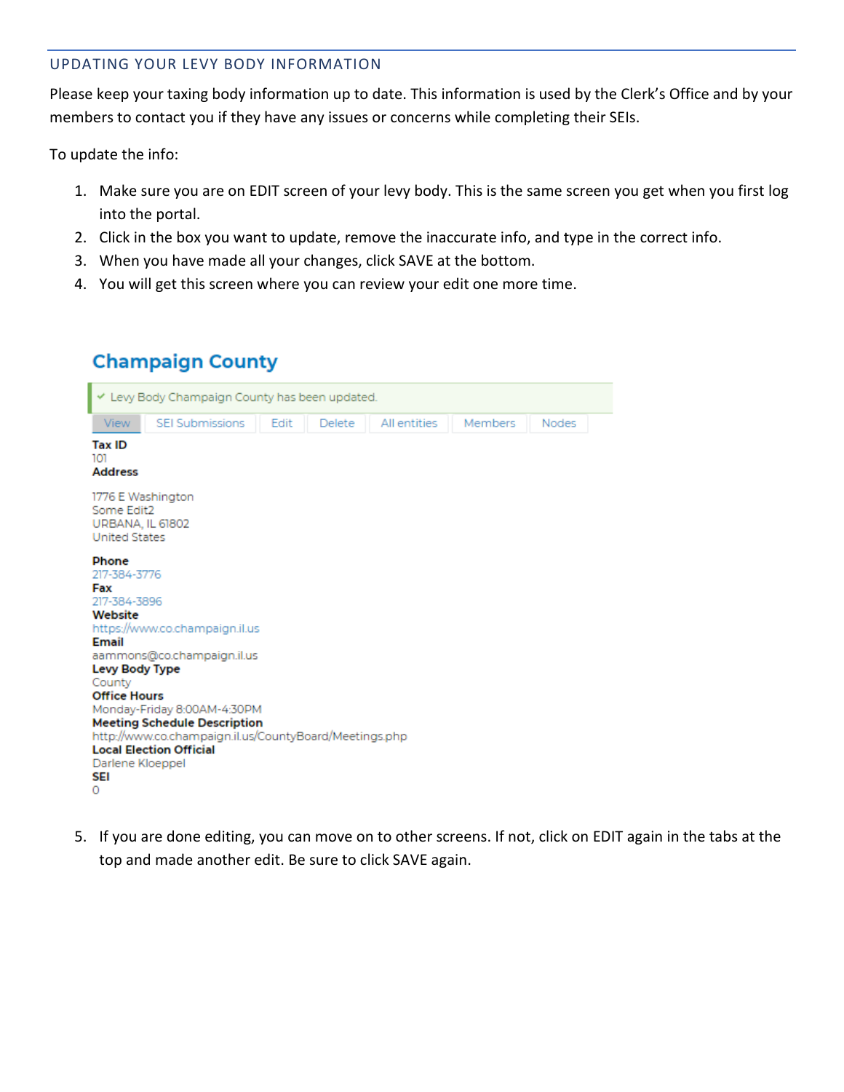#### UPDATING YOUR LEVY BODY INFORMATION

Please keep your taxing body information up to date. This information is used by the Clerk's Office and by your members to contact you if they have any issues or concerns while completing their SEIs.

To update the info:

- 1. Make sure you are on EDIT screen of your levy body. This is the same screen you get when you first log into the portal.
- 2. Click in the box you want to update, remove the inaccurate info, and type in the correct info.
- 3. When you have made all your changes, click SAVE at the bottom.
- 4. You will get this screen where you can review your edit one more time.

### **Champaign County**



5. If you are done editing, you can move on to other screens. If not, click on EDIT again in the tabs at the top and made another edit. Be sure to click SAVE again.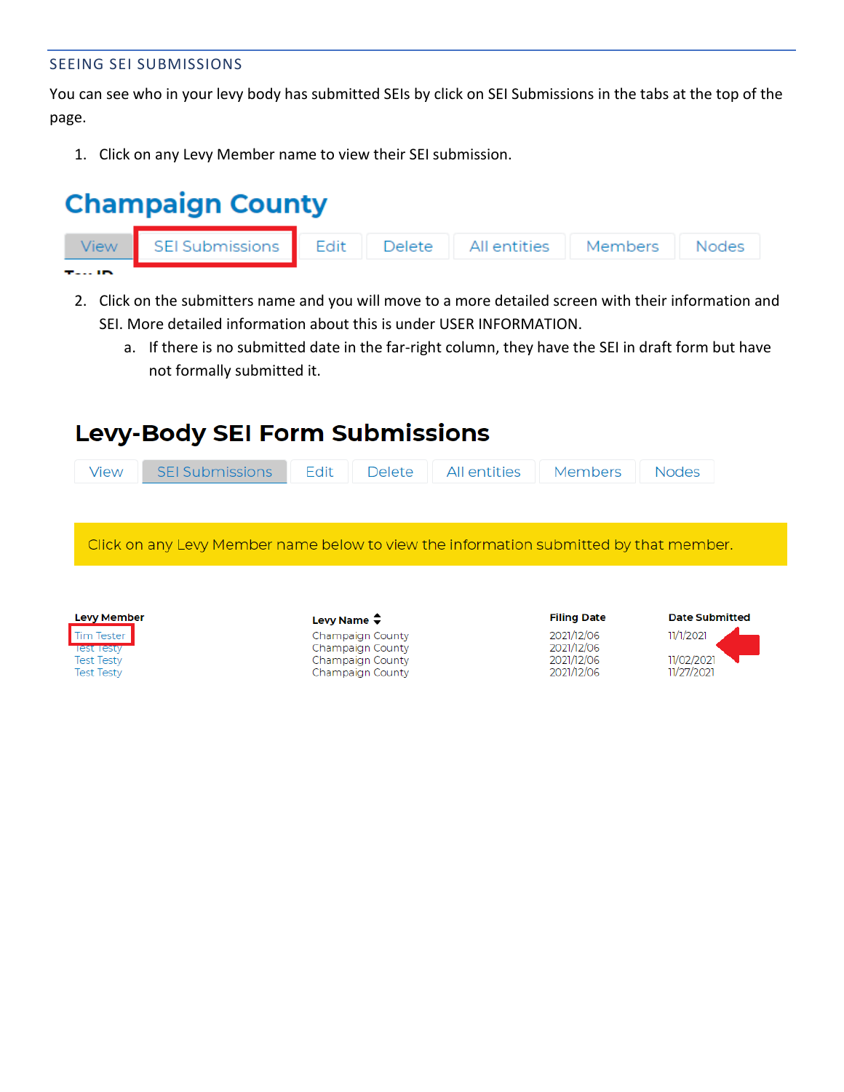#### SEEING SEI SUBMISSIONS

You can see who in your levy body has submitted SEIs by click on SEI Submissions in the tabs at the top of the page.

1. Click on any Levy Member name to view their SEI submission.

# **Champaign County**



- 2. Click on the submitters name and you will move to a more detailed screen with their information and SEI. More detailed information about this is under USER INFORMATION.
	- a. If there is no submitted date in the far-right column, they have the SEI in draft form but have not formally submitted it.

## **Levy-Body SEI Form Submissions**

| Click on any Levy Member name below to view the information submitted by that member. |  |
|---------------------------------------------------------------------------------------|--|
|                                                                                       |  |
|                                                                                       |  |
|                                                                                       |  |

| <b>Levy Member</b> |  |
|--------------------|--|
| <b>Tim Tester</b>  |  |
| <b>Test Testy</b>  |  |
| <b>Test Testy</b>  |  |
| <b>Test Testy</b>  |  |

| Levy Name $\clubsuit$ |
|-----------------------|
| Champaign County      |
| Champaign County      |
| Champaign County      |
| Champaign County      |

| <b>Filing Date</b> |  |
|--------------------|--|
| 2021/12/06         |  |
| 2021/12/06         |  |
| 2021/12/06         |  |
| 2021/12/06         |  |

|  | <b>Date Submitted</b> |  |
|--|-----------------------|--|
|--|-----------------------|--|

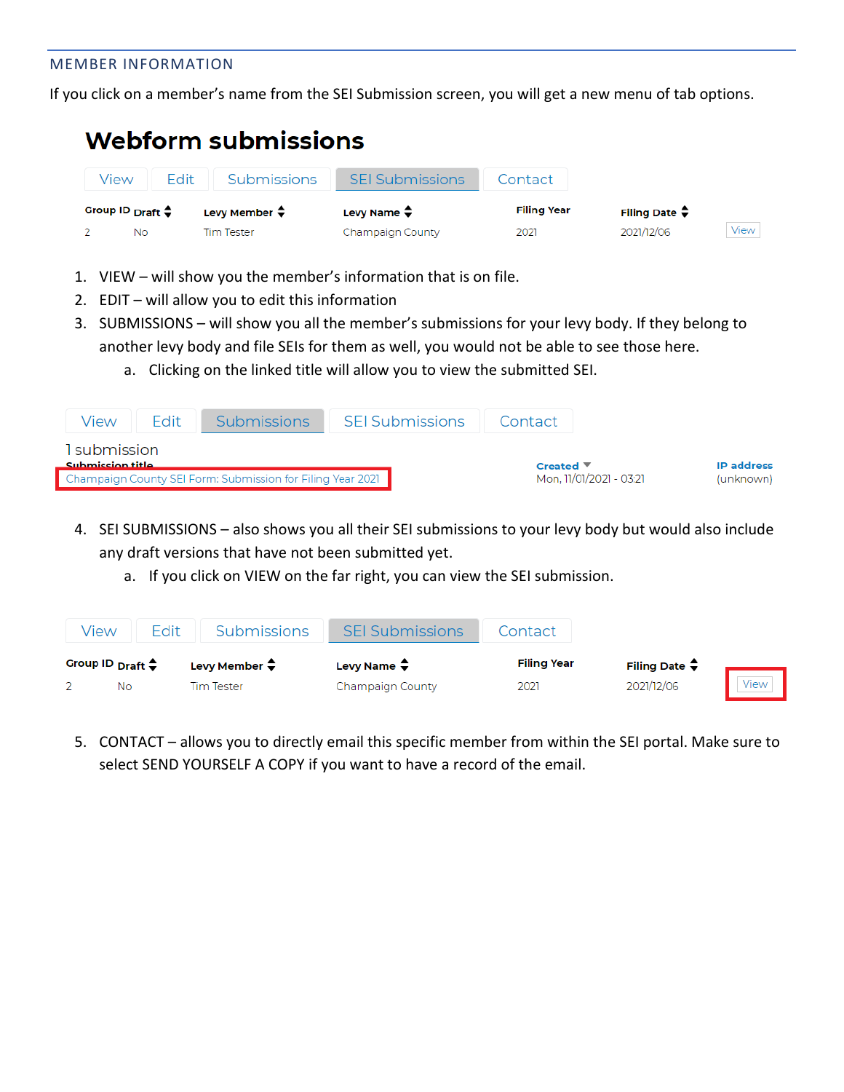#### MEMBER INFORMATION

If you click on a member's name from the SEI Submission screen, you will get a new menu of tab options.

# **Webform submissions**

| view | Fdit                           | Submissions             | <b>SEI Submissions</b>  | Contact            |                                             |      |
|------|--------------------------------|-------------------------|-------------------------|--------------------|---------------------------------------------|------|
|      | Group ID $_{Draff} \triangleq$ | Levy Member $\clubsuit$ | Levy Name $\hat{\div}$  | <b>Filing Year</b> | Filing Date $\hat{\boldsymbol{\mathsf{v}}}$ |      |
|      | No                             | Tim Tester              | <b>Champaign County</b> | 2021               | 2021/12/06                                  | View |

- 1. VIEW will show you the member's information that is on file.
- 2. EDIT will allow you to edit this information
- 3. SUBMISSIONS will show you all the member's submissions for your levy body. If they belong to another levy body and file SEIs for them as well, you would not be able to see those here.
	- a. Clicking on the linked title will allow you to view the submitted SEI.

| View                                                                           | Fdit | <b>Submissions</b> | <b>SEI Submissions</b> | Contact                          |                   |
|--------------------------------------------------------------------------------|------|--------------------|------------------------|----------------------------------|-------------------|
| 1 submission                                                                   |      |                    |                        | Created $\overline{\phantom{a}}$ | <b>IP</b> address |
| Submission title<br>Champaign County SEI Form: Submission for Filing Year 2021 |      |                    |                        | Mon, 11/01/2021 - 03:21          | (unknown)         |

- 4. SEI SUBMISSIONS also shows you all their SEI submissions to your levy body but would also include any draft versions that have not been submitted yet.
	- a. If you click on VIEW on the far right, you can view the SEI submission.

| View                       | Fdit | Submissions              | <b>SEI Submissions</b>       | Contact            |                         |      |
|----------------------------|------|--------------------------|------------------------------|--------------------|-------------------------|------|
| Group ID $_{Draff}$ $\div$ |      | Levy Member $\hat{\div}$ | Levy Name $\hat{\mathbf{z}}$ | <b>Filing Year</b> | Filing Date $\clubsuit$ |      |
| No                         |      | Tim Tester               | Champaign County             | 2021               | 2021/12/06              | View |

5. CONTACT – allows you to directly email this specific member from within the SEI portal. Make sure to select SEND YOURSELF A COPY if you want to have a record of the email.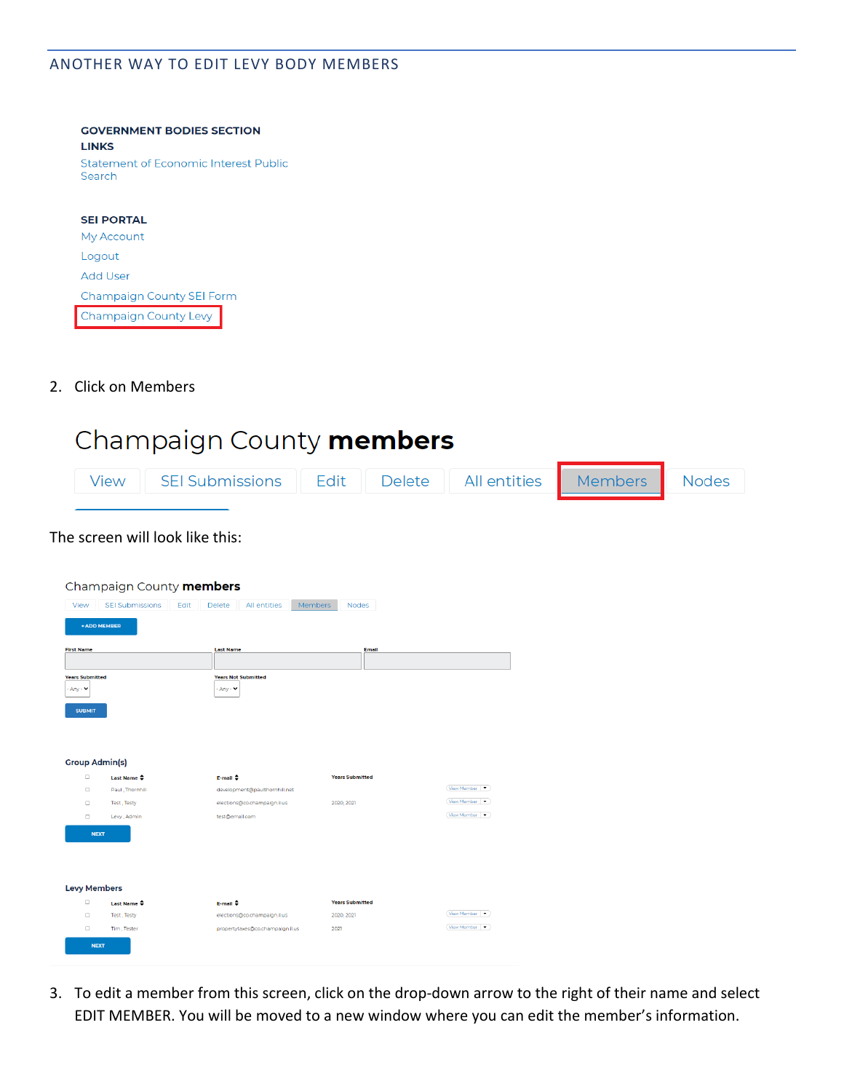#### ANOTHER WAY TO EDIT LEVY BODY MEMBERS

| <b>GOVERNMENT BODIES SECTION</b>                |
|-------------------------------------------------|
| <b>LINKS</b>                                    |
| Statement of Economic Interest Public<br>Search |
|                                                 |
| <b>SEI PORTAL</b>                               |
| <b>My Account</b>                               |
| Logout                                          |
| Add User                                        |
| <b>Champaign County SEI Form</b>                |

2. Click on Members

Champaign County Levy

# Champaign County members

| View SEI Submissions Edit Delete All entities Members Nodes |  |  |  |
|-------------------------------------------------------------|--|--|--|
|                                                             |  |  |  |

#### The screen will look like this:

| Champaign County <b>members</b>                                           |                                |                                          |                        |                           |  |
|---------------------------------------------------------------------------|--------------------------------|------------------------------------------|------------------------|---------------------------|--|
| View                                                                      | <b>SEI Submissions</b><br>Edit | Delete<br>All entities<br><b>Members</b> | Nodes                  |                           |  |
| <b>+ ADD MEMBER</b>                                                       |                                |                                          |                        |                           |  |
| <b>First Name</b>                                                         |                                | <b>Last Name</b>                         | Email                  |                           |  |
|                                                                           |                                |                                          |                        |                           |  |
| <b>Years Submitted</b><br>$-$ Any $ \blacktriangleright$<br><b>SUBMIT</b> |                                | <b>Years Not Submitted</b><br>- Any - V  |                        |                           |  |
| <b>Group Admin(s)</b>                                                     |                                |                                          |                        |                           |  |
| $\Box$                                                                    | Last Name $\clubsuit$          | E-mail $\triangleq$                      | <b>Years Submitted</b> |                           |  |
| $\Box$                                                                    | Paul, Thornhill                | development@paulthornhill.net            |                        | View Member   •           |  |
| $\Box$                                                                    | Test, Testy                    | elections@co.champaign.il.us             | 2020, 2021             | View Member .             |  |
| o                                                                         | Levy, Admin                    | test@email.com                           |                        | View Member -             |  |
| <b>NEXT</b>                                                               |                                |                                          |                        |                           |  |
| <b>Levy Members</b>                                                       |                                |                                          |                        |                           |  |
| $\Box$                                                                    | Last Name $\hat{\div}$         | E-mail +                                 | <b>Years Submitted</b> | View Member -             |  |
| $\Box$                                                                    | Test, Testy                    | elections@co.champaign.il.us             | 2020, 2021             |                           |  |
| $\Box$                                                                    | Tim, Tester                    | propertytaxes@co.champaign.il.us         | 2021                   | View Member $\rightarrow$ |  |
| <b>NEXT</b>                                                               |                                |                                          |                        |                           |  |

3. To edit a member from this screen, click on the drop-down arrow to the right of their name and select EDIT MEMBER. You will be moved to a new window where you can edit the member's information.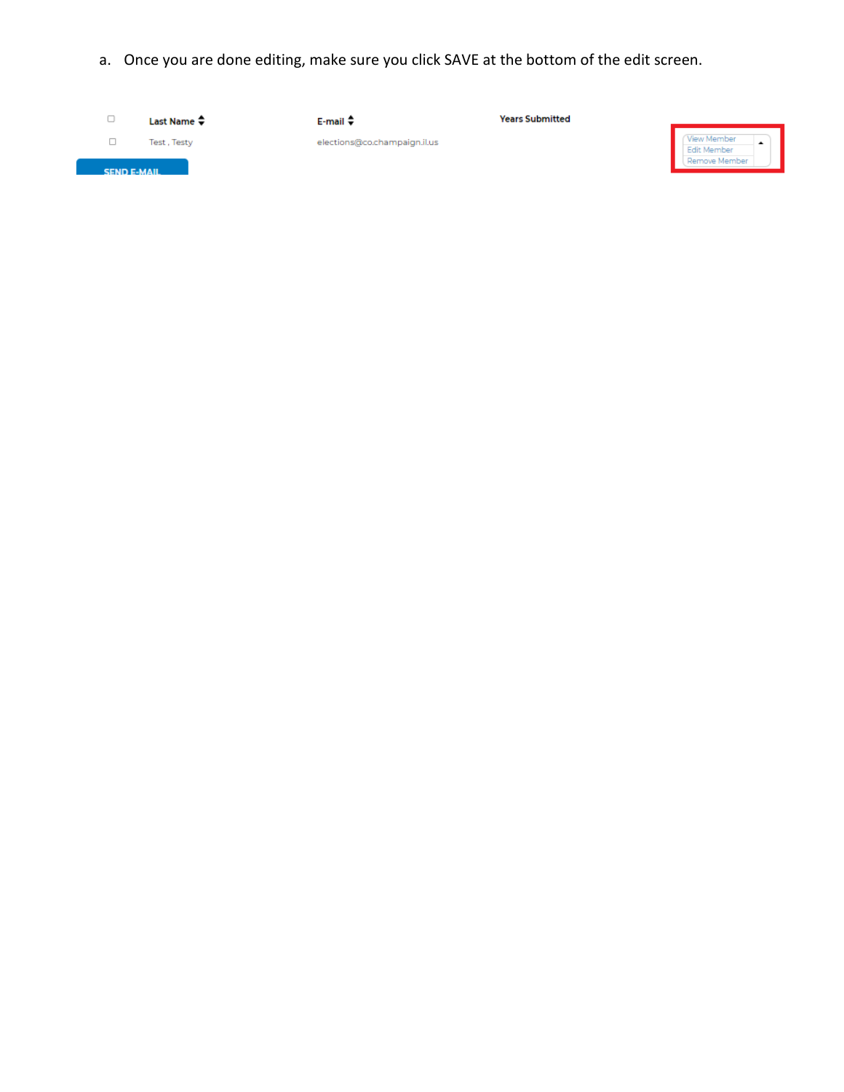a. Once you are done editing, make sure you click SAVE at the bottom of the edit screen.

| ◡                  | Last Name $\clubsuit$ | $E$ -mail $\Rightarrow$      | <b>Years Submitted</b> |                                             |
|--------------------|-----------------------|------------------------------|------------------------|---------------------------------------------|
| <b>SEND E-MAIL</b> | Test, Testy           | elections@co.champaign.il.us |                        | View Member<br>Edit Member<br>Remove Member |
|                    |                       |                              |                        |                                             |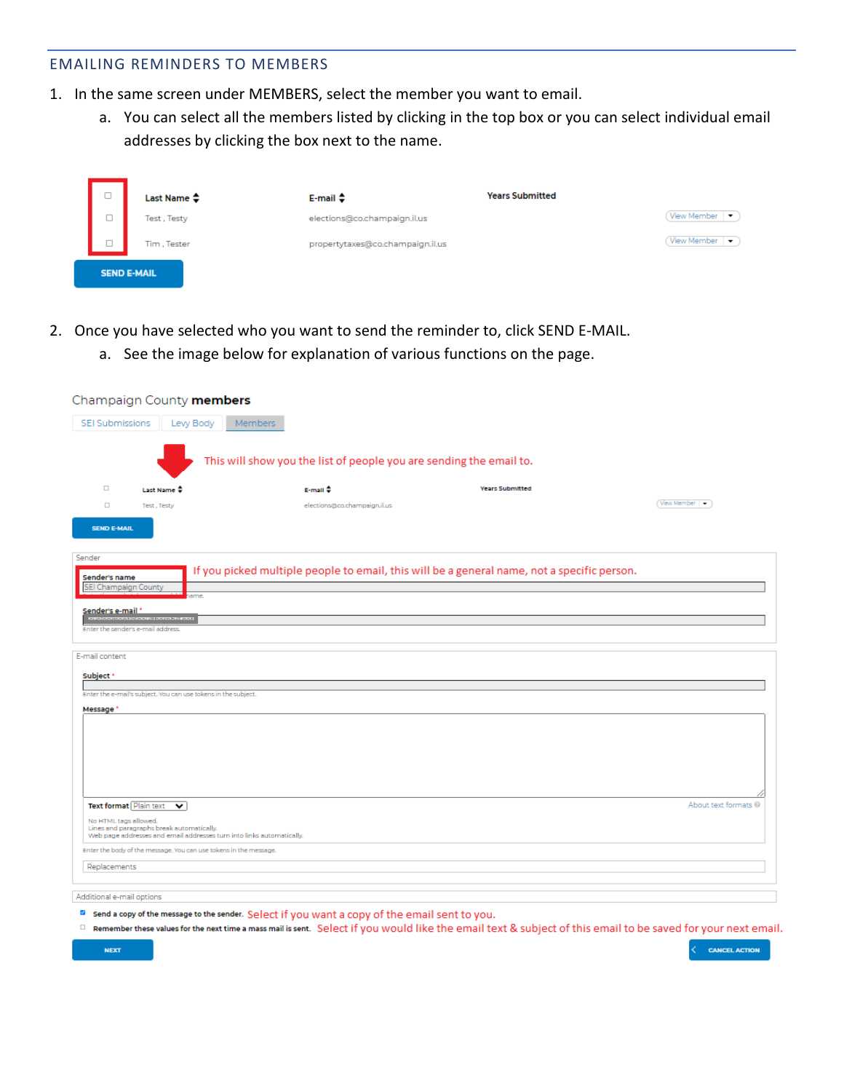#### EMAILING REMINDERS TO MEMBERS

- 1. In the same screen under MEMBERS, select the member you want to email.
	- a. You can select all the members listed by clicking in the top box or you can select individual email addresses by clicking the box next to the name.

| 0      | Last Name ≑        | $E$ -mail $\Rightarrow$          | <b>Years Submitted</b>    |
|--------|--------------------|----------------------------------|---------------------------|
| $\Box$ | Test, Testy        | elections@co.champaign.il.us     | View Member               |
| $\Box$ | Tim, Tester        | propertytaxes@co.champaign.il.us | View Member $\rightarrow$ |
|        | <b>SEND E-MAIL</b> |                                  |                           |

- 2. Once you have selected who you want to send the reminder to, click SEND E-MAIL.
	- a. See the image below for explanation of various functions on the page.

|                                                 | Champaign County members                                                  |                                                                       |                                                                                             |                      |
|-------------------------------------------------|---------------------------------------------------------------------------|-----------------------------------------------------------------------|---------------------------------------------------------------------------------------------|----------------------|
| <b>SEI Submissions</b>                          | Levy Body                                                                 | Members                                                               |                                                                                             |                      |
|                                                 |                                                                           | This will show you the list of people you are sending the email to.   |                                                                                             |                      |
| $\Box$                                          | Last Name =                                                               | $E$ -mail $\Rightarrow$                                               | <b>Years Submitted</b>                                                                      |                      |
| $\Box$                                          | Test, Testy                                                               | elections@co.champaign.il.us                                          |                                                                                             | View Member          |
| <b>SEND E-MAIL</b>                              |                                                                           |                                                                       |                                                                                             |                      |
| Sender                                          |                                                                           |                                                                       | If you picked multiple people to email, this will be a general name, not a specific person. |                      |
| Sender's name<br>SEI Champaign County           | sme                                                                       |                                                                       |                                                                                             |                      |
| Sender's e-mail *                               | <b>INTERNATIONAL AND CONTRACTOR</b><br>Enter the sender's e-mail address. |                                                                       |                                                                                             |                      |
|                                                 |                                                                           |                                                                       |                                                                                             |                      |
| E-mail content                                  |                                                                           |                                                                       |                                                                                             |                      |
| Subject *                                       |                                                                           |                                                                       |                                                                                             |                      |
| Message <sup>*</sup>                            | Enter the e-mail's subject. You can use tokens in the subject.            |                                                                       |                                                                                             |                      |
|                                                 |                                                                           |                                                                       |                                                                                             |                      |
|                                                 |                                                                           |                                                                       |                                                                                             |                      |
|                                                 |                                                                           |                                                                       |                                                                                             |                      |
|                                                 |                                                                           |                                                                       |                                                                                             |                      |
|                                                 |                                                                           |                                                                       |                                                                                             | About text formats @ |
| Text format Plain text<br>No HTML tags allowed. | $\checkmark$                                                              |                                                                       |                                                                                             |                      |
|                                                 | Lines and paragraphs break automatically.                                 | Web page addresses and email addresses turn into links automatically. |                                                                                             |                      |
|                                                 | Enter the body of the message. You can use tokens in the message.         |                                                                       |                                                                                             |                      |
| Replacements                                    |                                                                           |                                                                       |                                                                                             |                      |
| Additional e-mail options                       |                                                                           |                                                                       |                                                                                             |                      |
|                                                 |                                                                           |                                                                       |                                                                                             |                      |

- <sup>2</sup> Send a copy of the message to the sender. Select if you want a copy of the email sent to you.
- Remember these values for the next time a mass mail is sent. Select if you would like the email text & subject of this email to be saved for your next email.

**CANCEL ACTION**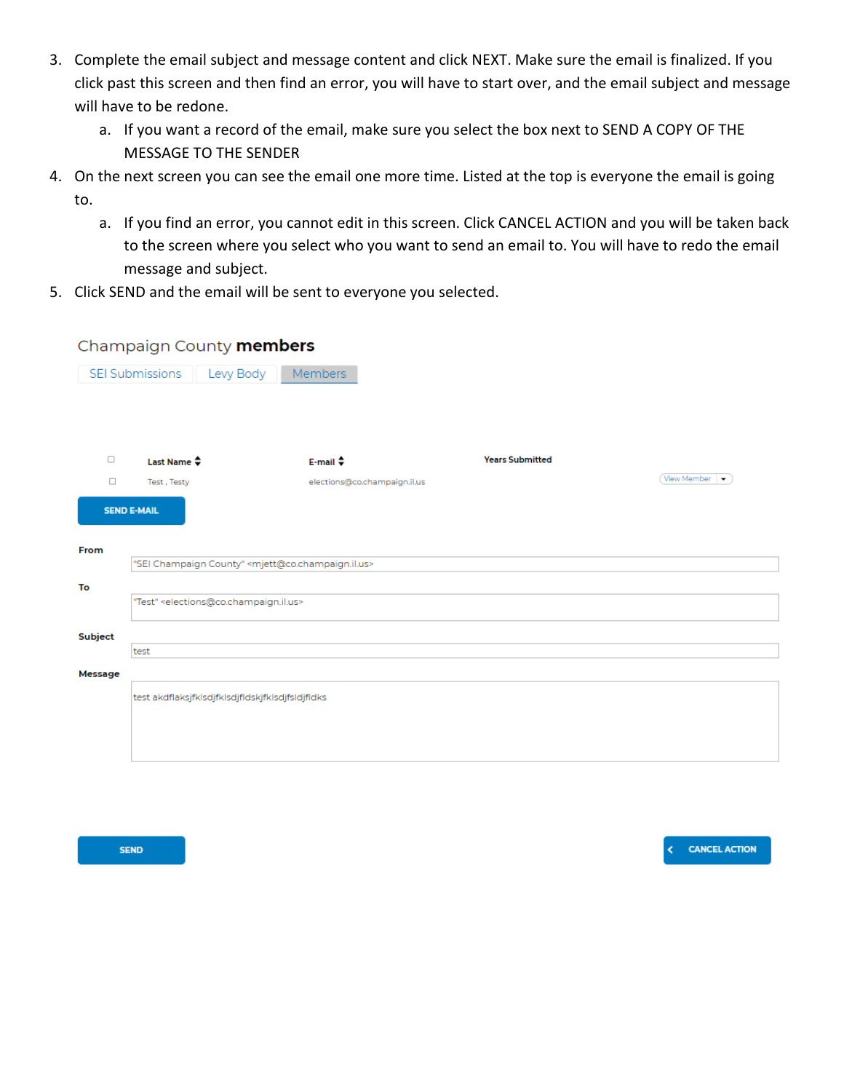- 3. Complete the email subject and message content and click NEXT. Make sure the email is finalized. If you click past this screen and then find an error, you will have to start over, and the email subject and message will have to be redone.
	- a. If you want a record of the email, make sure you select the box next to SEND A COPY OF THE MESSAGE TO THE SENDER
- 4. On the next screen you can see the email one more time. Listed at the top is everyone the email is going to.
	- a. If you find an error, you cannot edit in this screen. Click CANCEL ACTION and you will be taken back to the screen where you select who you want to send an email to. You will have to redo the email message and subject.
- 5. Click SEND and the email will be sent to everyone you selected.

#### Champaign County **members**

|         | Levy Body<br><b>SEI Submissions</b>                                  | Members                                                                      |                        |             |  |  |
|---------|----------------------------------------------------------------------|------------------------------------------------------------------------------|------------------------|-------------|--|--|
|         |                                                                      |                                                                              |                        |             |  |  |
|         |                                                                      |                                                                              |                        |             |  |  |
| $\Box$  | Last Name $\clubsuit$                                                | $E$ -mail $\triangle$                                                        | <b>Years Submitted</b> |             |  |  |
| $\Box$  | Test, Testy                                                          | elections@co.champaign.il.us                                                 |                        | View Member |  |  |
|         | <b>SEND E-MAIL</b>                                                   |                                                                              |                        |             |  |  |
| From    |                                                                      |                                                                              |                        |             |  |  |
|         |                                                                      | "SEI Champaign County" <mjett@co.champaign.il.us></mjett@co.champaign.il.us> |                        |             |  |  |
| To      |                                                                      |                                                                              |                        |             |  |  |
|         | "Test" <elections@co.champaign.il.us></elections@co.champaign.il.us> |                                                                              |                        |             |  |  |
|         |                                                                      |                                                                              |                        |             |  |  |
| Subject | test                                                                 |                                                                              |                        |             |  |  |
|         |                                                                      |                                                                              |                        |             |  |  |
| Message |                                                                      |                                                                              |                        |             |  |  |
|         | test akdflaksjfklsdjfklsdjfldskjfklsdjfsldjfldks                     |                                                                              |                        |             |  |  |
|         |                                                                      |                                                                              |                        |             |  |  |
|         |                                                                      |                                                                              |                        |             |  |  |
|         |                                                                      |                                                                              |                        |             |  |  |
|         |                                                                      |                                                                              |                        |             |  |  |

**SEND** 

**CANCEL ACTION**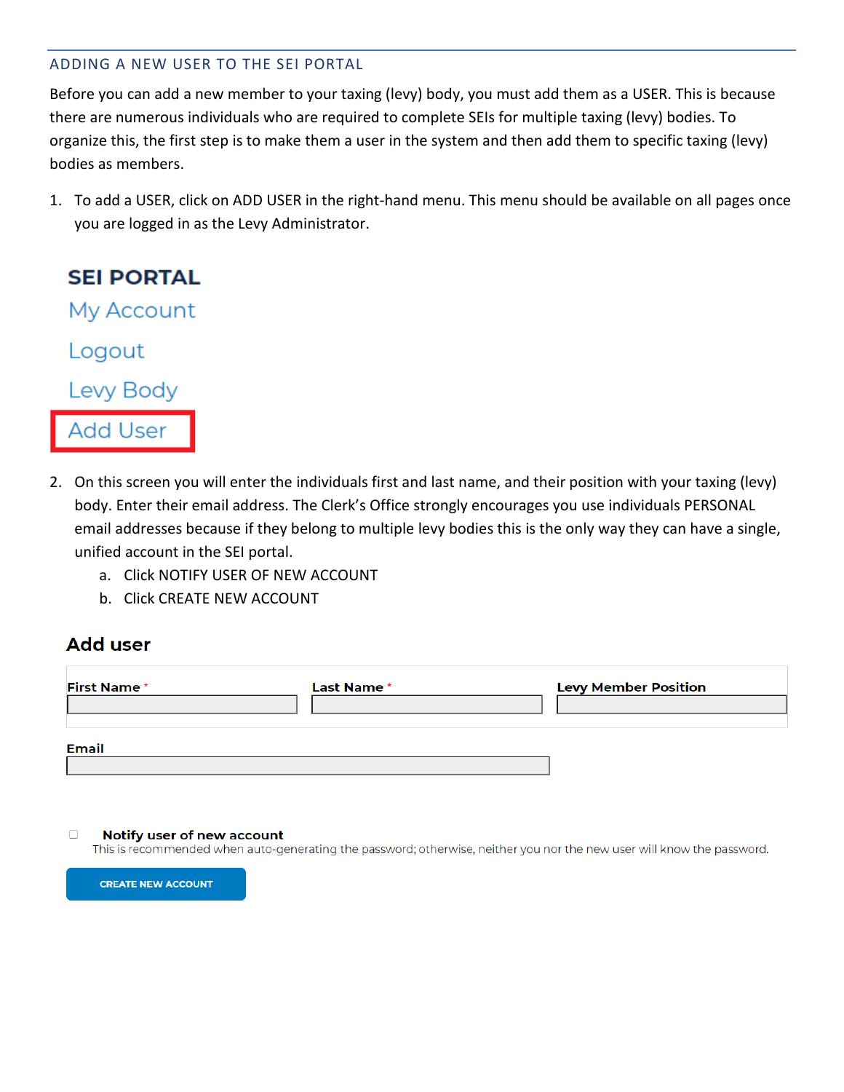#### ADDING A NEW USER TO THE SEI PORTAL

Before you can add a new member to your taxing (levy) body, you must add them as a USER. This is because there are numerous individuals who are required to complete SEIs for multiple taxing (levy) bodies. To organize this, the first step is to make them a user in the system and then add them to specific taxing (levy) bodies as members.

1. To add a USER, click on ADD USER in the right-hand menu. This menu should be available on all pages once you are logged in as the Levy Administrator.



- 2. On this screen you will enter the individuals first and last name, and their position with your taxing (levy) body. Enter their email address. The Clerk's Office strongly encourages you use individuals PERSONAL email addresses because if they belong to multiple levy bodies this is the only way they can have a single, unified account in the SEI portal.
	- a. Click NOTIFY USER OF NEW ACCOUNT
	- b. Click CREATE NEW ACCOUNT

### **Add user**

| <b>First Name*</b> | Last Name * | <b>Levy Member Position</b> |
|--------------------|-------------|-----------------------------|
|                    |             |                             |
| <b>Email</b>       |             |                             |
|                    |             |                             |

#### $\Box$ Notify user of new account

This is recommended when auto-generating the password; otherwise, neither you nor the new user will know the password.

**CREATE NEW ACCOUNT**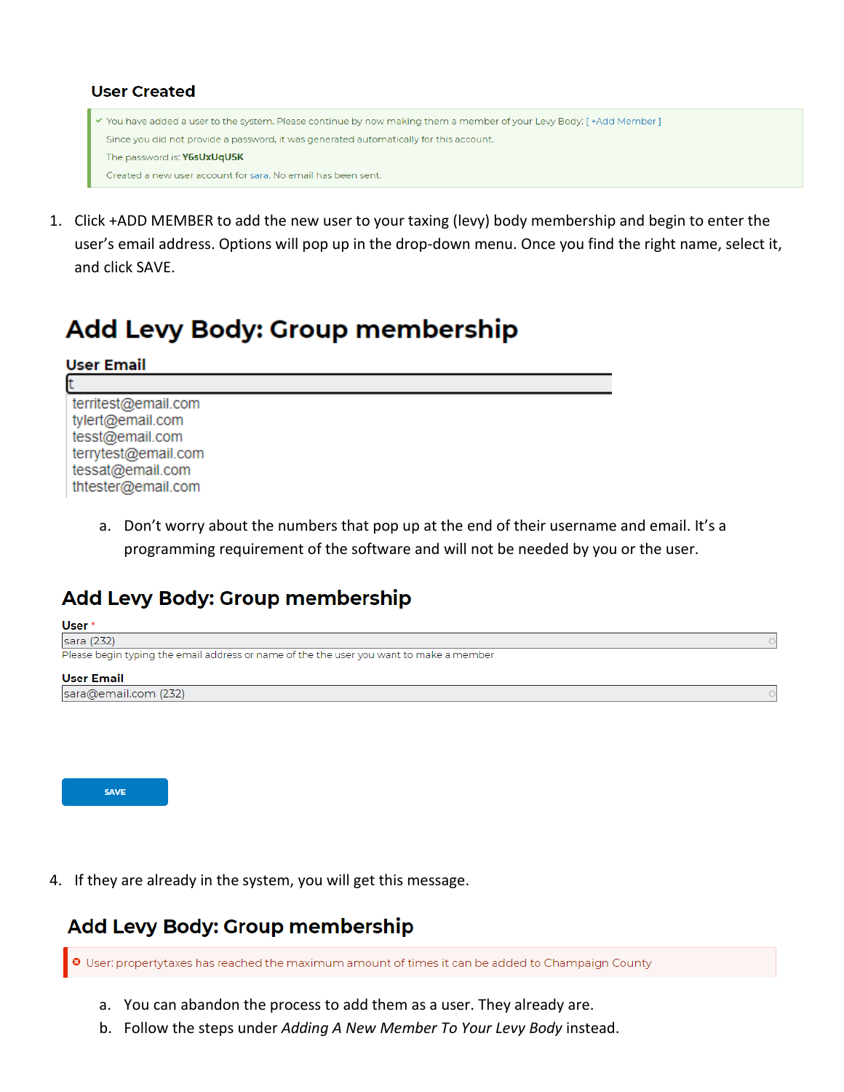#### **User Created**

```
√ You have added a user to the system. Please continue by now making them a member of your Levy Body: [+Add Member]
Since you did not provide a password, it was generated automatically for this account.
 The password is: Y6sUxUqU5K
 Created a new user account for sara. No email has been sent.
```
1. Click +ADD MEMBER to add the new user to your taxing (levy) body membership and begin to enter the user's email address. Options will pop up in the drop-down menu. Once you find the right name, select it, and click SAVE.

# Add Levy Body: Group membership

| <b>User Email</b>                                                                                                           |  |
|-----------------------------------------------------------------------------------------------------------------------------|--|
|                                                                                                                             |  |
| territest@email.com<br>tylert@email.com<br>tesst@email.com<br>terrytest@email.com<br>tessat@email.com<br>thtester@email.com |  |

a. Don't worry about the numbers that pop up at the end of their username and email. It's a programming requirement of the software and will not be needed by you or the user.

### Add Levy Body: Group membership



![](_page_9_Picture_8.jpeg)

4. If they are already in the system, you will get this message.

### **Add Levy Body: Group membership**

User: propertytaxes has reached the maximum amount of times it can be added to Champaign County

- a. You can abandon the process to add them as a user. They already are.
- b. Follow the steps under *Adding A New Member To Your Levy Body* instead.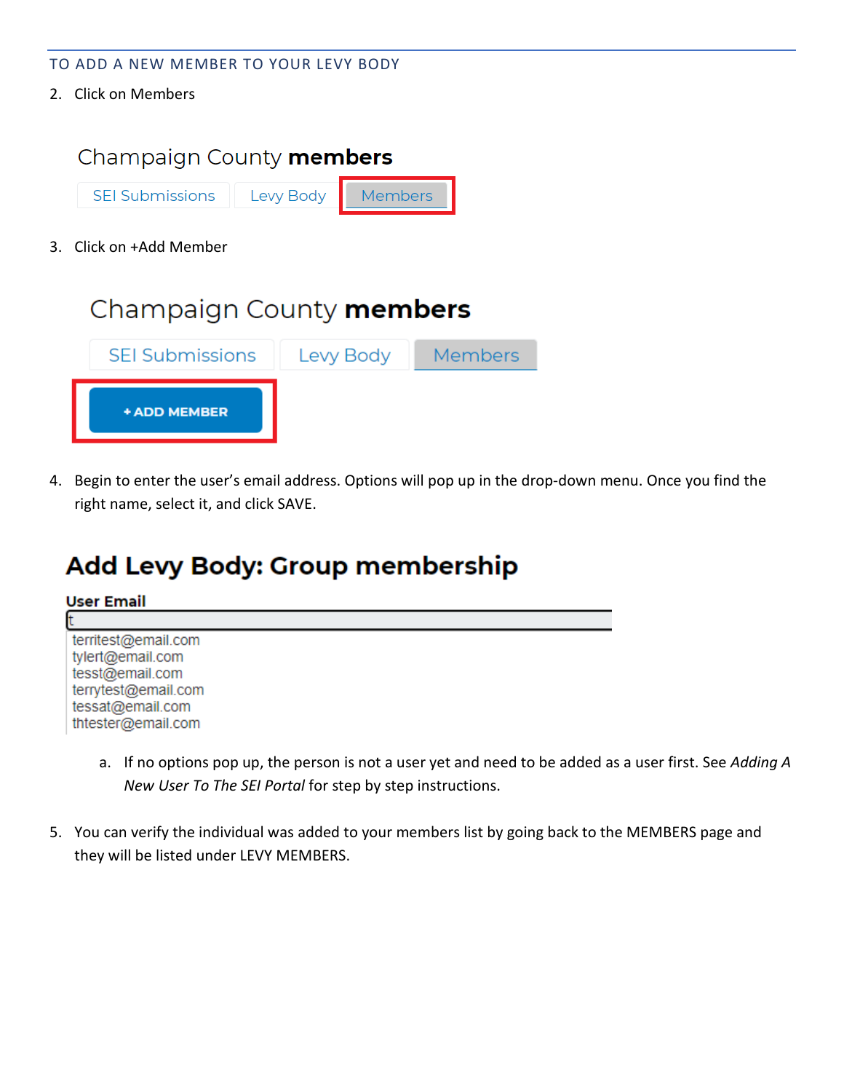- TO ADD A NEW MEMBER TO YOUR LEVY BODY
- 2. Click on Members

![](_page_10_Picture_2.jpeg)

4. Begin to enter the user's email address. Options will pop up in the drop-down menu. Once you find the right name, select it, and click SAVE.

# **Add Levy Body: Group membership**

![](_page_10_Picture_5.jpeg)

- a. If no options pop up, the person is not a user yet and need to be added as a user first. See *Adding A New User To The SEI Portal* for step by step instructions.
- 5. You can verify the individual was added to your members list by going back to the MEMBERS page and they will be listed under LEVY MEMBERS.